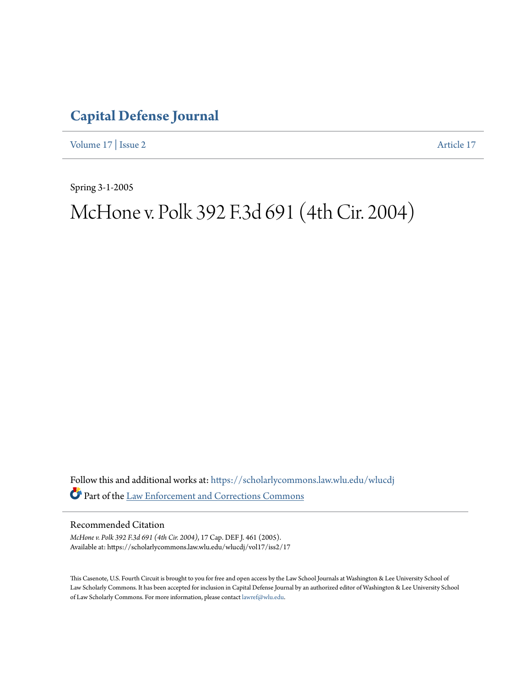## **[Capital Defense Journal](https://scholarlycommons.law.wlu.edu/wlucdj?utm_source=scholarlycommons.law.wlu.edu%2Fwlucdj%2Fvol17%2Fiss2%2F17&utm_medium=PDF&utm_campaign=PDFCoverPages)**

[Volume 17](https://scholarlycommons.law.wlu.edu/wlucdj/vol17?utm_source=scholarlycommons.law.wlu.edu%2Fwlucdj%2Fvol17%2Fiss2%2F17&utm_medium=PDF&utm_campaign=PDFCoverPages) | [Issue 2](https://scholarlycommons.law.wlu.edu/wlucdj/vol17/iss2?utm_source=scholarlycommons.law.wlu.edu%2Fwlucdj%2Fvol17%2Fiss2%2F17&utm_medium=PDF&utm_campaign=PDFCoverPages) [Article 17](https://scholarlycommons.law.wlu.edu/wlucdj/vol17/iss2/17?utm_source=scholarlycommons.law.wlu.edu%2Fwlucdj%2Fvol17%2Fiss2%2F17&utm_medium=PDF&utm_campaign=PDFCoverPages)

Spring 3-1-2005

# McHone v. Polk 392 F.3d 691 (4th Cir. 2004)

Follow this and additional works at: [https://scholarlycommons.law.wlu.edu/wlucdj](https://scholarlycommons.law.wlu.edu/wlucdj?utm_source=scholarlycommons.law.wlu.edu%2Fwlucdj%2Fvol17%2Fiss2%2F17&utm_medium=PDF&utm_campaign=PDFCoverPages) Part of the [Law Enforcement and Corrections Commons](http://network.bepress.com/hgg/discipline/854?utm_source=scholarlycommons.law.wlu.edu%2Fwlucdj%2Fvol17%2Fiss2%2F17&utm_medium=PDF&utm_campaign=PDFCoverPages)

Recommended Citation

*McHone v. Polk 392 F.3d 691 (4th Cir. 2004)*, 17 Cap. DEF J. 461 (2005). Available at: https://scholarlycommons.law.wlu.edu/wlucdj/vol17/iss2/17

This Casenote, U.S. Fourth Circuit is brought to you for free and open access by the Law School Journals at Washington & Lee University School of Law Scholarly Commons. It has been accepted for inclusion in Capital Defense Journal by an authorized editor of Washington & Lee University School of Law Scholarly Commons. For more information, please contact [lawref@wlu.edu.](mailto:lawref@wlu.edu)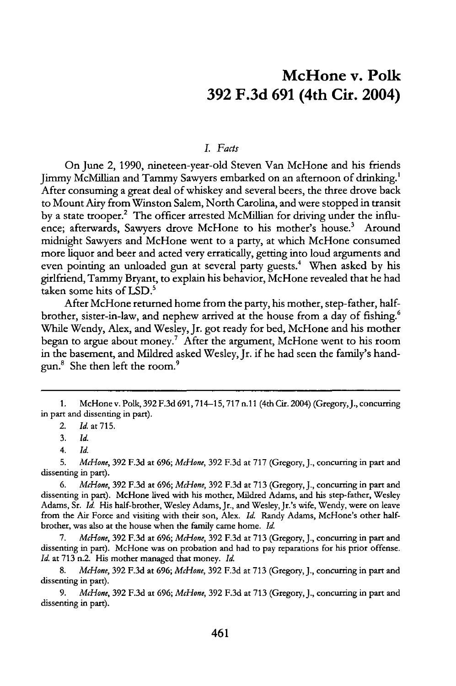### **McHone v. Polk 392 F.3d 691 (4th Cir. 2004)**

#### *I. Facts*

On June 2, 1990, nineteen-year-old Steven Van McHone and his friends Jimmy McMillian and Tammy Sawyers embarked on an afternoon of drinking.' After consuming a great deal of whiskey and several beers, the three drove back to Mount Airy from Winston Salem, North Carolina, and were stopped in transit **by** a state trooper.2 The officer arrested McMillian for driving under the influence; afterwards, Sawyers drove McHone to his mother's house.<sup>3</sup> Around midnight Sawyers and McHone went to a party, at which McHone consumed more liquor and beer and acted very erratically, getting into loud arguments and even pointing an unloaded gun at several party guests.<sup>4</sup> When asked by his girlfriend, Tammy Bryant, to explain his behavior, McHone revealed that he had taken some hits of LSD.<sup>5</sup>

After McHone returned home from the party, his mother, step-father, halfbrother, sister-in-law, and nephew arrived at the house from a day of fishing.<sup>6</sup> While Wendy, Alex, and Wesley, Jr. got ready for bed, McHone and his mother began to argue about money.' After the argument, McHone went to his room in the basement, and Mildred asked Wesley, Jr. if he had seen the family's handgun.<sup>8</sup> She then left the room.<sup>9</sup>

2. *Id.* at **715.**

**3.** *Id.*

<sup>1.</sup> McHonev. Polk, 392 F.3d 691,714-15,717 n.l1 (4th Cir. 2004) (Gregory,J., concurring in part and dissenting in part).

*<sup>4.</sup> Id.*

**<sup>5.</sup>** *McHone,* **392 F.3d** at 696; *McHone,* **392 F.3d** at **717** (Gregory, J., concurring in part and dissenting in part).

*<sup>6.</sup> McHone,* **392 F.3d** at 696; *McHone,* **392** F.3d at **713** (Gregory, J., concurring in part and dissenting in part). McHone lived with his mother, Mildred Adams, and his step-father, Wesley Adams, Sr. *Id.* His half-brother, Wesley Adams, Jr., and Wesley, Jr.'s wife, Wendy, were on leave from the Air Force and visiting with their son, Alex. *Id.* Randy Adams, McHone's other halfbrother, was also at the house when the family came home. *Id.*

**<sup>7.</sup>** *McHone,* **392 F.3d** at 696; *McHone,* **392 F.3d** at **713** (Gregory, J., concurring in part and dissenting in part). McHone was on probation and had to pay reparations for his prior offense. *Id.* at **713** n.2. His mother managed that money. *Id.*

<sup>8.</sup> *McHone,* **392 F.3d** at 696; *McHone,* **392 F.3d** at **713** (Gregory, J., concurring in part and dissenting in part).

<sup>9.</sup> *McHone,* **392 F.3d** at 696; *McHone,* **392 F.3d** at **713** (Gregory, J., concurring in part and dissenting in part).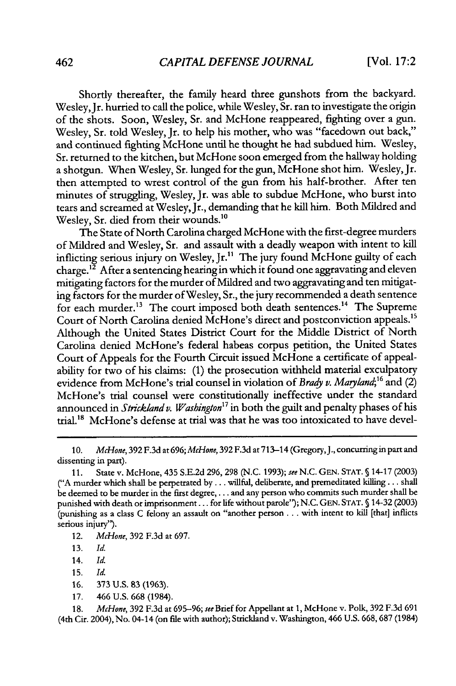Shortly thereafter, the family heard three gunshots from the backyard. Wesley, Jr. hurried to call the police, while Wesley, Sr. ran to investigate the origin of the shots. Soon, Wesley, Sr. and McHone reappeared, fighting over a gun. Wesley, Sr. told Wesley, Jr. to help his mother, who was "facedown out back," and continued fighting McHone until he thought he had subdued him. Wesley, Sr. returned to the kitchen, but McHone soon emerged from the hallway holding a shotgun. When Wesley, Sr. lunged for the gun, McHone shot him. Wesley, Jr. then attempted to wrest control of the gun from his half-brother. After ten minutes of struggling, Wesley, Jr. was able to subdue McHone, who burst into tears and screamed at Wesley, Jr., demanding that he kill him. Both Mildred and Wesley, Sr. died from their wounds.<sup>10</sup>

The State of North Carolina charged McHone with the first-degree murders of Mildred and Wesley, Sr. and assault with a deadly weapon with intent to kill inflicting serious injury on Wesley, Jr.<sup>11</sup> The jury found McHone guilty of each charge.<sup>12</sup> After a sentencing hearing in which it found one aggravating and eleven mitigating factors for the murder of Mildred and two aggravating and ten mitigating factors for the murder of Wesley, Sr., the jury recommended a death sentence for each murder.<sup>13</sup> The court imposed both death sentences.<sup>14</sup> The Supreme Court of North Carolina denied McHone's direct and postconviction appeals.<sup>15</sup> Although the United States District Court for the Middle District of North Carolina denied McHone's federal habeas corpus petition, the United States Court of Appeals for the Fourth Circuit issued McHone a certificate of appealability for two of his claims: (1) the prosecution withheld material exculpatory evidence from McHone's trial counsel in violation of *Brady v. Maryland;'6* and (2) McHone's trial counsel were constitutionally ineffective under the standard announced in *Strickland v. Washington*<sup>17</sup> in both the guilt and penalty phases of his trial'" McHone's defense at trial was that he was too intoxicated to have devel-

10. *McHone,* 392 **F.3d** at 696; *McHone,* 392 **F.3d** at 713-14 (Gregory, J., concurring in part and dissenting in part).

- 12. *McHone,* 392 F.3d at 697.
- 13. *Id.*
- 14. *Id.*
- 15. *Id.*
- 16. 373 U.S. 83 (1963).
- 17. 466 U.S. 668 (1984).

18. *McHone,* 392 F.3d at 695-96; *see* Brief for Appellant at 1, McHone v. Polk, 392 F.3d 691 (4th Cir. 2004), No. 04-14 (on file with author); Strickland v. Washington, 466 U.S. 668,687 (1984)

<sup>11.</sup> State v. McHone, 435 S.E.2d 296, 298 (N.C. 1993); **see** N.C. GEN. STAT. **§** 14-17 (2003) ("A murder which shall be perpetrated by ... willful, deliberate, and premeditated killing... shall be deemed to be murder in the first degree,... and any person who commits such murder shall be punished with death or imprisonment... for life without parole"); N.C. GEN. STAT. **§** 14-32 (2003) (punishing as a class C felony an assault on "another person **...** with intent to kill [that] inflicts serious injury").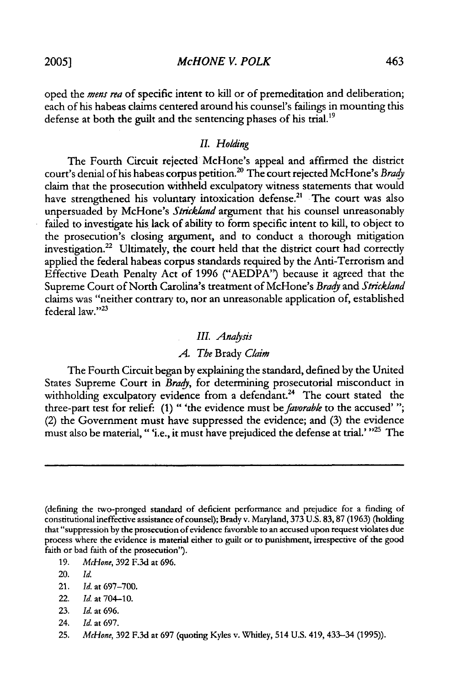oped the *mens rea* of specific intent to kill or of premeditation and deliberation; each of his habeas claims centered around his counsel's failings in mounting this defense at both the guilt and the sentencing phases of his trial.<sup>19</sup>

#### *IL Holding*

The Fourth Circuit rejected McHone's appeal and affirmed the district court's denial of his habeas corpus petition.2 " The court rejected McHone's *Brady* claim that the prosecution withheld exculpatory witness statements that would have strengthened his voluntary intoxication defense.<sup>21</sup> The court was also unpersuaded by McHone's *Strickland* argument that his counsel unreasonably failed to investigate his lack of ability to form specific intent to kill, to object to the prosecution's closing argument, and to conduct a thorough mitigation investigation.<sup>22</sup> Ultimately, the court held that the district court had correctly applied the federal habeas corpus standards required by the Anti-Terrorism and Effective Death Penalty Act of 1996 ("AEDPA") because it agreed that the Supreme Court of North Carolina's treatment of McHone's *Brady and Strickland* claims was "neither contrary to, nor an unreasonable application of, established federal law."23

#### *III. Analsis*

#### *A. The* Brady *Claim*

The Fourth Circuit began by explaining the standard, defined by the United States Supreme Court in *Brady,* for determining prosecutorial misconduct in withholding exculpatory evidence from a defendant.<sup>24</sup> The court stated the three-part test for relief: (1) " 'the evidence must be *favorable* to the accused' "; (2) the Government must have suppressed the evidence; and (3) the evidence must also be material, "i.e., it must have prejudiced the defense at trial.' <sup>225</sup> The

- 19. *McHone,* 392 F.3d at 696.
- 20. *Id.*
- 21. *Id.* at 697-700.
- 22. *Id.* at 704-10.
- 23. *Id.* at 696.
- 24. *Id.* at 697.
- 25. *McHone,* 392 F.3d at 697 (quoting Kyles v. Whitley, 514 U.S. 419, 433-34 (1995)).

<sup>(</sup>defining the two-pronged standard of deficient performance and prejudice for a finding of constitutional ineffective assistance of counsel); Brady v. Maryland, 373 U.S. 83,87 (1963) (holding that "suppression by the prosecution of evidence favorable to an accused upon request violates due process where the evidence is material either to guilt or to punishment, irrespective of the good faith or bad faith of the prosecution").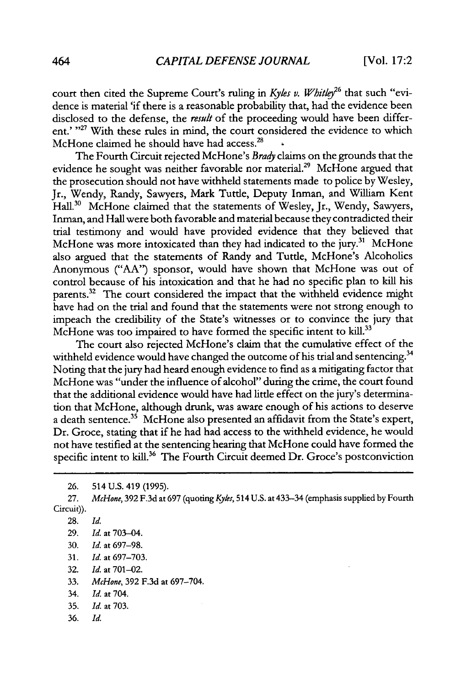court then cited the Supreme Court's ruling in *Kyles v. Whitley*<sup>26</sup> that such "evidence is material 'if there is a reasonable probability that, had the evidence been disclosed to the defense, the *result* of the proceeding would have been different.' "<sup>27</sup> With these rules in mind, the court considered the evidence to which McHone claimed he should have had access.<sup>28</sup>

The Fourth Circuit rejected McHone's *Brady* claims on the grounds that the evidence he sought was neither favorable nor material.<sup>29</sup> McHone argued that the prosecution should not have withheld statements made to police by Wesley, Jr., Wendy, Randy, Sawyers, Mark Tuttle, Deputy Inman, and William Kent Hall.<sup>30</sup> McHone claimed that the statements of Wesley, Jr., Wendy, Sawyers, Inman, and Hall were both favorable and material because they contradicted their trial testimony and would have provided evidence that they believed that McHone was more intoxicated than they had indicated to the jury.<sup>31</sup> McHone also argued that the statements of Randy and Tuttle, McHone's Alcoholics Anonymous ("AA") sponsor, would have shown that McHone was out of control because of his intoxication and that he had no specific plan to kill his parents.<sup>32</sup> The court considered the impact that the withheld evidence might have had on the trial and found that the statements were not strong enough to impeach the credibility of the State's witnesses or to convince the jury that McHone was too impaired to have formed the specific intent to kill.<sup>33</sup>

The court also rejected McHone's claim that the cumulative effect of the withheld evidence would have changed the outcome of his trial and sentencing.<sup>34</sup> Noting that the jury had heard enough evidence to find as a mitigating factor that McHone was "under the influence of alcohol" during the crime, the court found that the additional evidence would have had little effect on the jury's determination that McHone, although drunk, was aware enough of his actions to deserve a death sentence.<sup>35</sup> McHone also presented an affidavit from the State's expert, Dr. Groce, stating that if he had had access to the withheld evidence, he would not have testified at the sentencing hearing that McHone could have formed the specific intent to kill.<sup>36</sup> The Fourth Circuit deemed Dr. Groce's postconviction

- 30. *Id.* at 697-98.
- 31. *Id.* at 697-703.
- 32. *Id.* at 701-02.
- 33. *McHone,* 392 F.3d at 697-704.
- 34. *Id.* at 704.
- 35. *Id.* at 703.
- 36. *Id.*

<sup>26. 514</sup> U.S. 419 (1995).

<sup>27.</sup> *McHone,* 392 F.3d at 697 (quoting *Kyes,* 514 U.S. at 433-34 (emphasis supplied by Fourth Circuit)).

<sup>28.</sup> *Id.*

<sup>29.</sup> *Id.* at 703-04.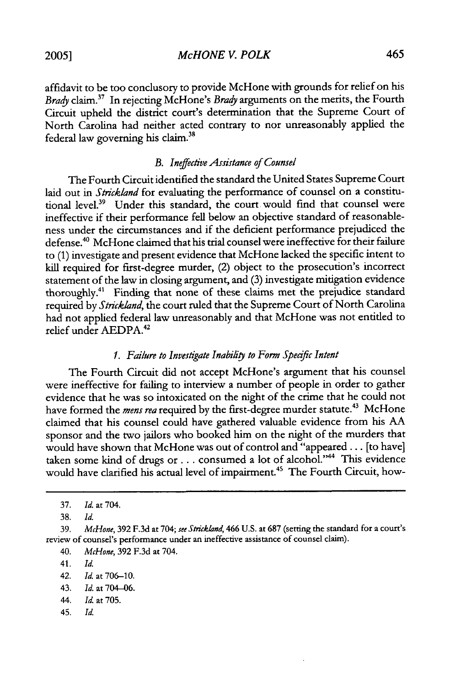*McHONE V. POLK*

affidavit to be too conclusory to provide McHone with grounds for relief on his *Brady* claim.37 In rejecting McHone's *Brady* arguments on the merits, the Fourth Circuit upheld the district court's determination that the Supreme Court of North Carolina had neither acted contrary to nor unreasonably applied the federal law governing his claim. <sup>38</sup>

#### *B. Ineffective Assistance of Counsel*

The Fourth Circuit identified the standard the United States Supreme Court laid out in *Strickland* for evaluating the performance of counsel on a constitutional level.<sup>39</sup> Under this standard, the court would find that counsel were ineffective if their performance fell below an objective standard of reasonableness under the circumstances and if the deficient performance prejudiced the defense. 4° McHone claimed that his trial counsel were ineffective for their failure to (1) investigate and present evidence that McHone lacked the specific intent to kill required for first-degree murder, (2) object to the prosecution's incorrect statement of the law in closing argument, and (3) investigate mitigation evidence thoroughly.<sup>41</sup> Finding that none of these claims met the prejudice standard required by *Strickland,* the court ruled that the Supreme Court of North Carolina had not applied federal law unreasonably and that McHone was not entitled to relief under AEDPA.

#### *1. Failure to Investigate Inability to Form Specific Intent*

The Fourth Circuit did not accept McHone's argument that his counsel were ineffective for failing to interview a number of people in order to gather evidence that he was so intoxicated on the night of the crime that he could not have formed the *mens rea* required by the first-degree murder statute.<sup>43</sup> McHone claimed that his counsel could have gathered valuable evidence from his AA sponsor and the two jailors who booked him on the night of the murders that would have shown that McHone was out of control and "appeared... [to have] taken some kind of drugs or... consumed a lot of alcohol."<sup>44</sup> This evidence would have clarified his actual level of impairment.<sup>45</sup> The Fourth Circuit, how-

- 41. *Id.*
- 42. Id. at 706-10.
- 43. **Id.** at 704-06.
- 44. Id. at 705.
- 45. Id.

<sup>37.</sup> Id. at 704.

<sup>38.</sup> *Id.*

<sup>39.</sup> *McHone,* 392 F.3d at 704; *see Strickland,* 466 U.S. at 687 (setting the standard for a court's review of counsel's performance under an ineffective assistance of counsel claim).

<sup>40.</sup> *McHone,* 392 F.3d at 704.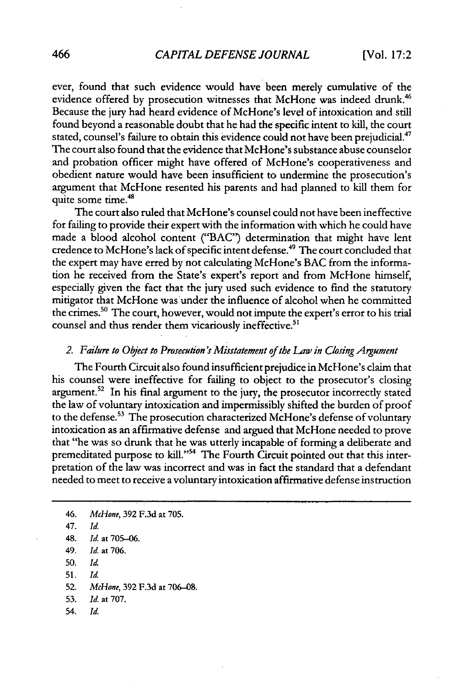ever, found that such evidence would have been merely cumulative of the evidence offered by prosecution witnesses that McHone was indeed drunk.<sup>46</sup> Because the jury had heard evidence of McHone's level of intoxication and still found beyond a reasonable doubt that he had the specific intent to kill, the court stated, counsel's failure to obtain this evidence could not have been prejudicial.<sup>47</sup> The court also found that the evidence that McHone's substance abuse counselor and probation officer might have offered of McHone's cooperativeness and obedient nature would have been insufficient to undermine the prosecution's argument that McHone resented his parents and had planned to kill them for quite some time.<sup>48</sup>

The court also ruled that McHone's counsel could not have been ineffective for failing to provide their expert with the information with which he could have made a blood alcohol content ("BAC") determination that might have lent credence to McHone's lack of specific intent defense.<sup>49</sup> The court concluded that the expert may have erred by not calculating McHone's **BAC** from the information he received from the State's expert's report and from McHone himself, especially given the fact that the jury used such evidence to find the statutory mitigator that McHone was under the influence of alcohol when he committed the crimes.<sup>50</sup> The court, however, would not impute the expert's error to his trial counsel and thus render them vicariously ineffective.<sup>51</sup>

#### 2. *Failure to Object to Prosecution's Misstatement of* the *Law in Closing Argument*

The Fourth Circuit also found insufficient prejudice in McHone's claim that his counsel were ineffective for failing to object to the prosecutor's closing argument.<sup>52</sup> In his final argument to the jury, the prosecutor incorrectly stated the law of voluntary intoxication and impermissibly shifted the burden of proof to the defense.<sup>53</sup> The prosecution characterized McHone's defense of voluntary intoxication as an affirmative defense and argued that McHone needed to prove that "he was so drunk that he was utterly incapable of forming a deliberate and premeditated purpose to kill."<sup>54</sup> The Fourth Circuit pointed out that this interpretation of the law was incorrect and was in fact the standard that a defendant needed to meet to receive a voluntary intoxication affirmative defense instruction

54. **Id.**

<sup>46.</sup> *McHone,* 392 F.3d at 705. 47. Id. 48. *Id.* at 705-06. 49. Id. at 706. 50. Id. 51. Id. 52. *McHone,* 392 F.3d at 706-08. 53. Id. at 707.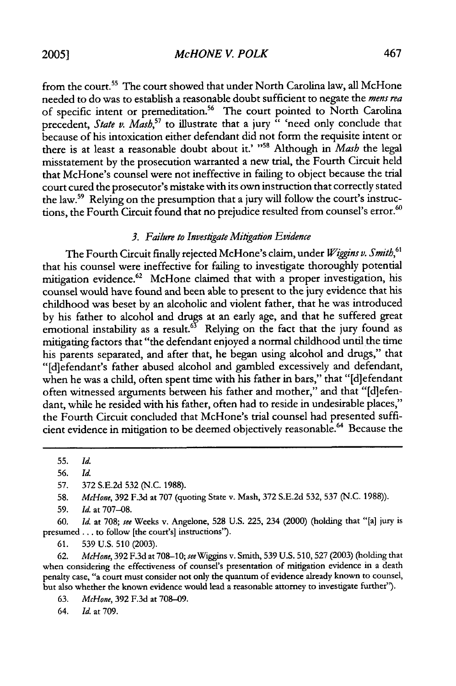*McHONE V. POLK*

from the court.<sup>55</sup> The court showed that under North Carolina law, all McHone needed to do was to establish a reasonable doubt sufficient to negate the mens rea of specific intent or premeditation.<sup>56</sup> The court pointed to North Carolina precedent, *State v. Mash*,<sup>57</sup> to illustrate that a jury " 'need only conclude that because of his intoxication either defendant did not form the requisite intent or there is at least a reasonable doubt about it.' "<sup>58</sup> Although in *Mash* the legal misstatement by the prosecution warranted a new trial, the Fourth Circuit held that McHone's counsel were not ineffective in failing to object because the trial court cured the prosecutor's mistake with its own instruction that correctly stated the law.<sup>59</sup> Relying on the presumption that a jury will follow the court's instructions, the Fourth Circuit found that no prejudice resulted from counsel's error.<sup>60</sup>

#### 3. Failure to Investigate Mitigation Evidence

The Fourth Circuit finally rejected McHone's claim, under *Wiggins v. Smith,61* that his counsel were ineffective for failing to investigate thoroughly potential mitigation evidence.<sup>62</sup> McHone claimed that with a proper investigation, his counsel would have found and been able to present to the jury evidence that his childhood was beset by an alcoholic and violent father, that he was introduced by his father to alcohol and drugs at an early age, and that he suffered great emotional instability as a result.<sup>63</sup> Relying on the fact that the jury found as mitigating factors that "the defendant enjoyed a normal childhood until the time his parents separated, and after that, he began using alcohol and drugs," that "[diefendant's father abused alcohol and gambled excessively and defendant, when he was a child, often spent time with his father in bars," that "[d]efendant often witnessed arguments between his father and mother," and that "[d]efendant, while he resided with his father, often had to reside in undesirable places," the Fourth Circuit concluded that McHone's trial counsel had presented sufficient evidence in mitigation to be deemed objectively reasonable.<sup>64</sup> Because the

58. *McHone,* 392 F.3d at 707 (quoting State v. Mash, 372 S.E.2d 532, 537 (N.C. 1988)).

62. *McHone,* 392 F.3d at 708-10; *see* Wiggins v. Smith, 539 U.S. 510, 527 (2003) (holding that when considering the effectiveness of counsel's presentation of mitigation evidence in a death penalty case, "a court must consider not only the quantum of evidence already known to counsel, but also whether the known evidence would lead a reasonable attorney to investigate further").

64. *Id.* at 709.

<sup>55.</sup> *Id.*

<sup>56.</sup> *Id.*

<sup>57. 372</sup> S.E.2d 532 **(N.C.** 1988).

<sup>59.</sup> *Id.* at 707-08.

**<sup>60.</sup>** *Id.* at 708; *see* Weeks v. Angelone, 528 U.S. 225, 234 (2000) (holding that "[a] jury is presumed **...** to follow [the court's] instructions").

<sup>61. 539</sup> U.S. **510** (2003).

<sup>63.</sup> *McHone,* 392 F.3d at 708-09.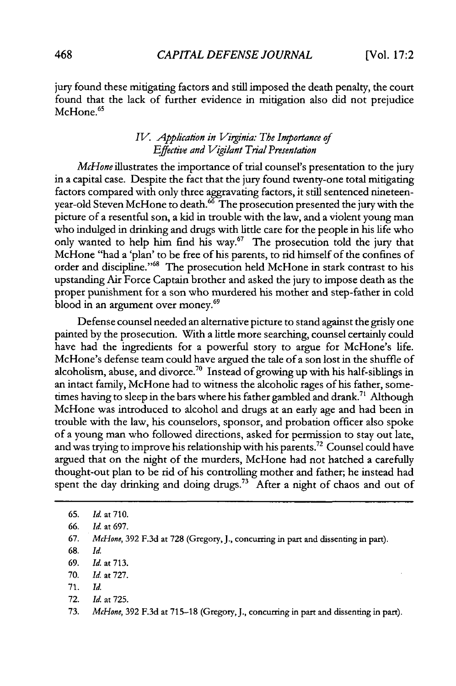jury found these mitigating factors and still imposed the death penalty, the court found that the lack of further evidence in mitigation also did not prejudice nound that

#### *IV. Application in Viginia: The Importance of Effective and I/igilant Trial Presentation*

*McHone* illustrates the importance of trial counsel's presentation to the jury in a capital case. Despite the fact that the jury found twenty-one total mitigating factors compared with only three aggravating factors, it still sentenced nineteenyear-old Steven McHone to death.<sup>66</sup> The prosecution presented the jury with the picture of a resentful son, a kid in trouble with the law, and a violent young man who indulged in drinking and drugs with little care for the people in his life who only wanted to help him find his way. $67$  The prosecution told the jury that McHone "had a 'plan' to be free of his parents, to rid himself of the confines of order and discipline."<sup>68</sup> The prosecution held McHone in stark contrast to his upstanding Air Force Captain brother and asked the jury to impose death as the proper punishment for a son who murdered his mother and step-father in cold blood in an argument over money.<sup>69</sup>

Defense counsel needed an alternative picture to stand against the grisly one painted by the prosecution. With a little more searching, counsel certainly could have had the ingredients for a powerful story to argue for McHone's life. McHone's defense team could have argued the tale of a son lost in the shuffle of alcoholism, abuse, and divorce.<sup>70</sup> Instead of growing up with his half-siblings in an intact family, McHone had to witness the alcoholic rages of his father, sometimes having to sleep in the bars where his father gambled and drank.<sup>71</sup> Although McHone was introduced to alcohol and drugs at an early age and had been in trouble with the law, his counselors, sponsor, and probation officer also spoke of a young man who followed directions, asked for permission to stay out late, and was trying to improve his relationship with his parents.<sup>72</sup> Counsel could have argued that on the night of the murders, McHone had not hatched a carefully thought-out plan to be rid of his controlling mother and father; he instead had spent the day drinking and doing drugs.<sup>73</sup> After a night of chaos and out of

- 68. *Id.*
- **69.** *Id.* at **713.**
- 70. *Id.* at 727.
- 71. *Id.*
- 72. *Id.* at 725.

<sup>65.</sup> *Id.* at 710.

<sup>66.</sup> *Id.* at 697.

<sup>67.</sup> *McHone,* 392 F.3d at 728 (Gregory, J., concurring in part and dissenting in part).

<sup>73.</sup> *McHone,* **392** F.3d at 715-18 (Gregory, J., concurring in part and dissenting in part).